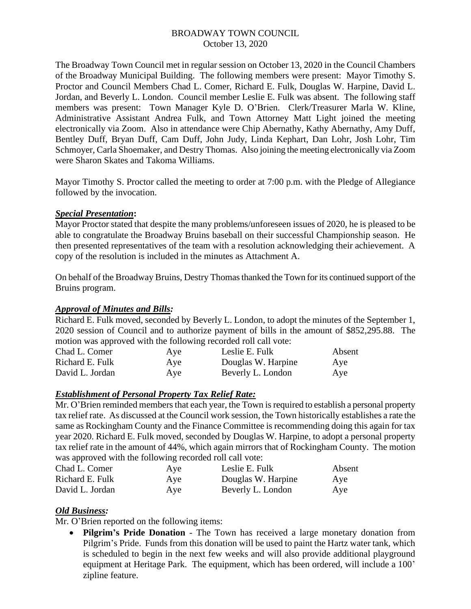## BROADWAY TOWN COUNCIL October 13, 2020

The Broadway Town Council met in regular session on October 13, 2020 in the Council Chambers of the Broadway Municipal Building. The following members were present: Mayor Timothy S. Proctor and Council Members Chad L. Comer, Richard E. Fulk, Douglas W. Harpine, David L. Jordan, and Beverly L. London. Council member Leslie E. Fulk was absent. The following staff members was present: Town Manager Kyle D. O'Brien. Clerk/Treasurer Marla W. Kline, Administrative Assistant Andrea Fulk, and Town Attorney Matt Light joined the meeting electronically via Zoom. Also in attendance were Chip Abernathy, Kathy Abernathy, Amy Duff, Bentley Duff, Bryan Duff, Cam Duff, John Judy, Linda Kephart, Dan Lohr, Josh Lohr, Tim Schmoyer, Carla Shoemaker, and Destry Thomas. Also joining the meeting electronically via Zoom were Sharon Skates and Takoma Williams.

Mayor Timothy S. Proctor called the meeting to order at 7:00 p.m. with the Pledge of Allegiance followed by the invocation.

## *Special Presentation***:**

Mayor Proctor stated that despite the many problems/unforeseen issues of 2020, he is pleased to be able to congratulate the Broadway Bruins baseball on their successful Championship season. He then presented representatives of the team with a resolution acknowledging their achievement. A copy of the resolution is included in the minutes as Attachment A.

On behalf of the Broadway Bruins, Destry Thomas thanked the Town for its continued support of the Bruins program.

### *Approval of Minutes and Bills:*

Richard E. Fulk moved, seconded by Beverly L. London, to adopt the minutes of the September 1, 2020 session of Council and to authorize payment of bills in the amount of \$852,295.88. The motion was approved with the following recorded roll call vote:

| Aye | Leslie E. Fulk     | Absent |
|-----|--------------------|--------|
| Aye | Douglas W. Harpine | Aye    |
| Aye | Beverly L. London  | Aye    |
|     |                    |        |

### *Establishment of Personal Property Tax Relief Rate:*

Mr. O'Brien reminded members that each year, the Town is required to establish a personal property tax relief rate. As discussed at the Council work session, the Town historically establishes a rate the same as Rockingham County and the Finance Committee is recommending doing this again for tax year 2020. Richard E. Fulk moved, seconded by Douglas W. Harpine, to adopt a personal property tax relief rate in the amount of 44%, which again mirrors that of Rockingham County. The motion was approved with the following recorded roll call vote:

| Chad L. Comer   | Aye | Leslie E. Fulk     | Absent |
|-----------------|-----|--------------------|--------|
| Richard E. Fulk | Aye | Douglas W. Harpine | Aye    |
| David L. Jordan | Aye | Beverly L. London  | Aye    |

# *Old Business:*

Mr. O'Brien reported on the following items:

• **Pilgrim's Pride Donation** - The Town has received a large monetary donation from Pilgrim's Pride. Funds from this donation will be used to paint the Hartz water tank, which is scheduled to begin in the next few weeks and will also provide additional playground equipment at Heritage Park. The equipment, which has been ordered, will include a 100' zipline feature.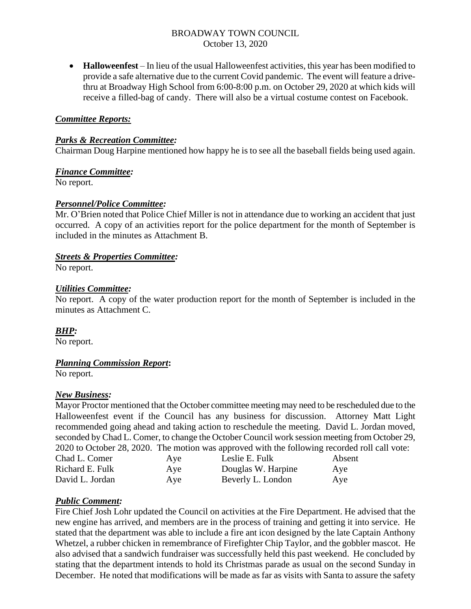## BROADWAY TOWN COUNCIL October 13, 2020

• **Halloweenfest** – In lieu of the usual Halloweenfest activities, this year has been modified to provide a safe alternative due to the current Covid pandemic. The event will feature a drivethru at Broadway High School from 6:00-8:00 p.m. on October 29, 2020 at which kids will receive a filled-bag of candy. There will also be a virtual costume contest on Facebook.

### *Committee Reports:*

#### *Parks & Recreation Committee:*

Chairman Doug Harpine mentioned how happy he is to see all the baseball fields being used again.

### *Finance Committee:*

No report.

### *Personnel/Police Committee:*

Mr. O'Brien noted that Police Chief Miller is not in attendance due to working an accident that just occurred. A copy of an activities report for the police department for the month of September is included in the minutes as Attachment B.

### *Streets & Properties Committee:*

No report.

#### *Utilities Committee:*

No report. A copy of the water production report for the month of September is included in the minutes as Attachment C.

### *BHP:*

No report.

### *Planning Commission Report***:**

No report.

### *New Business:*

Mayor Proctor mentioned that the October committee meeting may need to be rescheduled due to the Halloweenfest event if the Council has any business for discussion. Attorney Matt Light recommended going ahead and taking action to reschedule the meeting. David L. Jordan moved, seconded by Chad L. Comer, to change the October Council work session meeting from October 29, 2020 to October 28, 2020. The motion was approved with the following recorded roll call vote:

| Chad L. Comer   | Aye | Leslie E. Fulk     | Absent |
|-----------------|-----|--------------------|--------|
| Richard E. Fulk | Aye | Douglas W. Harpine | Aye    |
| David L. Jordan | Aye | Beverly L. London  | Aye    |

### *Public Comment:*

Fire Chief Josh Lohr updated the Council on activities at the Fire Department. He advised that the new engine has arrived, and members are in the process of training and getting it into service. He stated that the department was able to include a fire ant icon designed by the late Captain Anthony Whetzel, a rubber chicken in remembrance of Firefighter Chip Taylor, and the gobbler mascot. He also advised that a sandwich fundraiser was successfully held this past weekend. He concluded by stating that the department intends to hold its Christmas parade as usual on the second Sunday in December. He noted that modifications will be made as far as visits with Santa to assure the safety